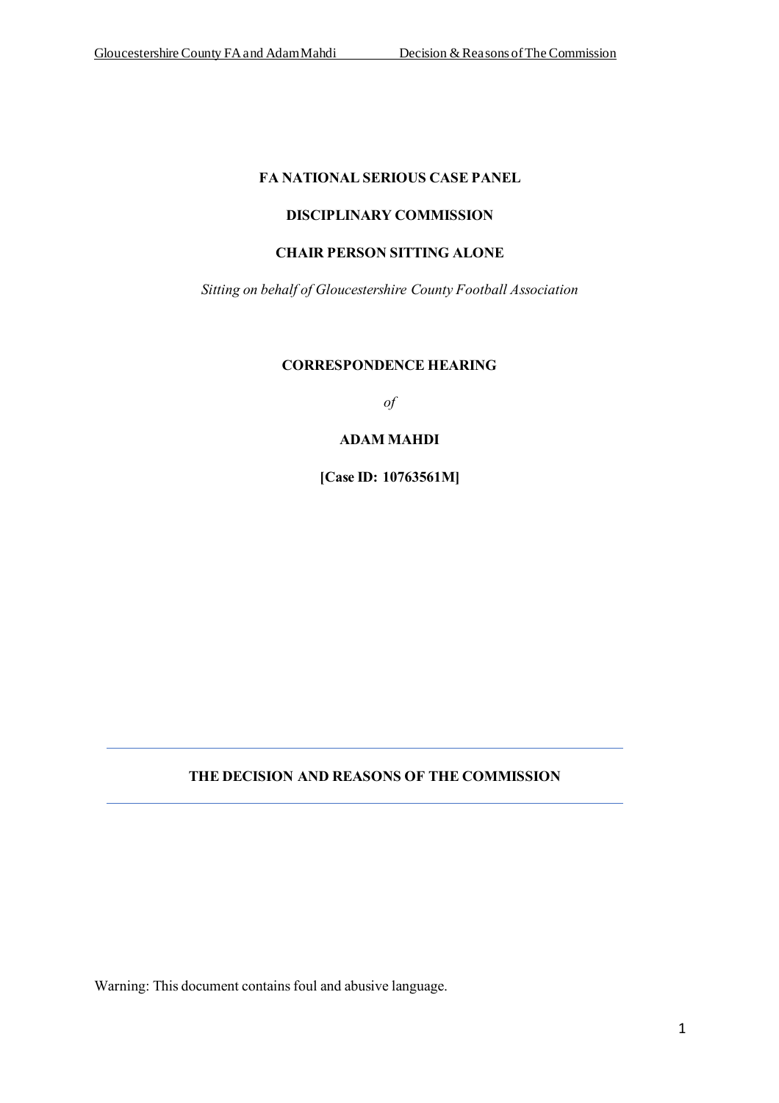## **FA NATIONAL SERIOUS CASE PANEL**

## **DISCIPLINARY COMMISSION**

## **CHAIR PERSON SITTING ALONE**

*Sitting on behalf of Gloucestershire County Football Association*

#### **CORRESPONDENCE HEARING**

*of*

## **ADAM MAHDI**

**[Case ID: 10763561M]**

## **THE DECISION AND REASONS OF THE COMMISSION**

Warning: This document contains foul and abusive language.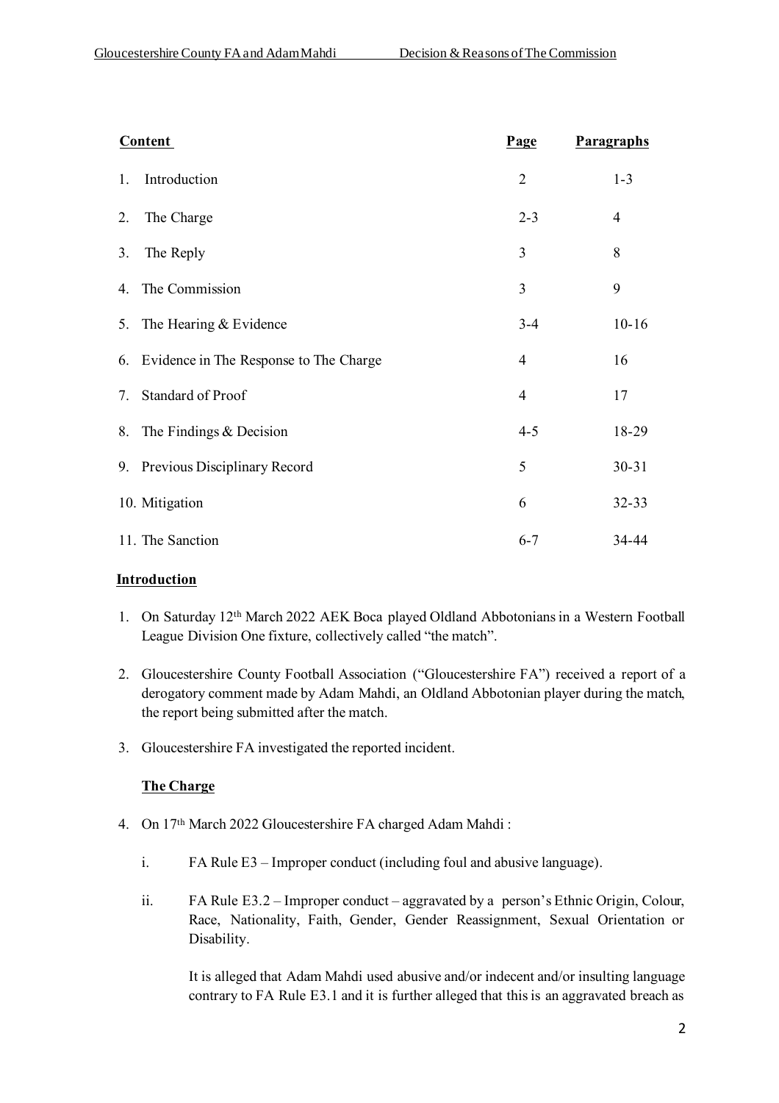| <b>Content</b>                            | Page           | Paragraphs |
|-------------------------------------------|----------------|------------|
| Introduction<br>1.                        | $\overline{2}$ | $1 - 3$    |
| 2.<br>The Charge                          | $2 - 3$        | 4          |
| The Reply<br>3.                           | 3              | 8          |
| The Commission<br>4.                      | 3              | 9          |
| The Hearing & Evidence<br>5.              | $3 - 4$        | $10 - 16$  |
| 6. Evidence in The Response to The Charge | $\overline{4}$ | 16         |
| Standard of Proof<br>7.                   | 4              | 17         |
| The Findings & Decision<br>8.             | $4 - 5$        | 18-29      |
| 9. Previous Disciplinary Record           | 5              | $30 - 31$  |
| 10. Mitigation                            | 6              | $32 - 33$  |
| 11. The Sanction                          | $6 - 7$        | 34-44      |

## **Introduction**

- 1. On Saturday 12th March 2022 AEK Boca played Oldland Abbotonians in a Western Football League Division One fixture, collectively called "the match".
- 2. Gloucestershire County Football Association ("Gloucestershire FA") received a report of a derogatory comment made by Adam Mahdi, an Oldland Abbotonian player during the match, the report being submitted after the match.
- 3. Gloucestershire FA investigated the reported incident.

## **The Charge**

- 4. On 17<sup>th</sup> March 2022 Gloucestershire FA charged Adam Mahdi:
	- i. FA Rule E3 Improper conduct (including foul and abusive language).
	- ii. FA Rule E3.2 Improper conduct aggravated by a person's Ethnic Origin, Colour, Race, Nationality, Faith, Gender, Gender Reassignment, Sexual Orientation or Disability.

It is alleged that Adam Mahdi used abusive and/or indecent and/or insulting language contrary to FA Rule E3.1 and it is further alleged that this is an aggravated breach as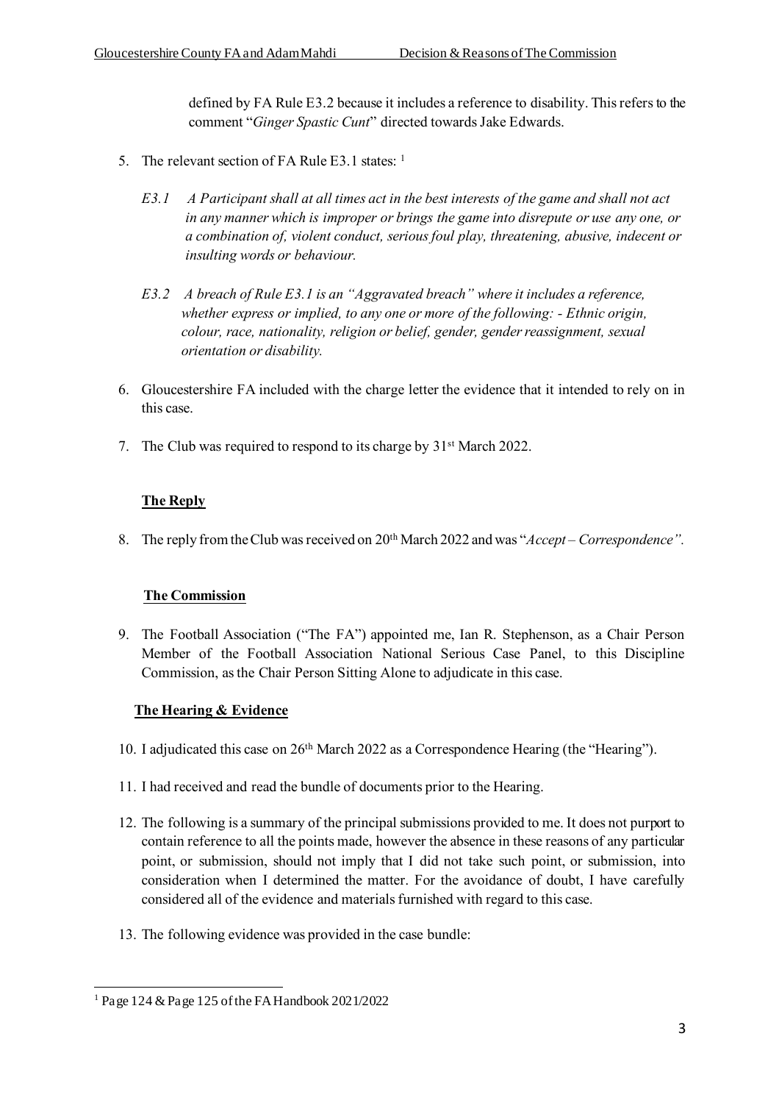defined by FA Rule E3.2 because it includes a reference to disability. This refers to the comment "*Ginger Spastic Cunt*" directed towards Jake Edwards.

- 5. The relevant section of FA Rule E3.1 states: <sup>1</sup>
	- *E3.1 A Participant shall at all times act in the best interests of the game and shall not act in any manner which is improper or brings the game into disrepute or use any one, or a combination of, violent conduct, serious foul play, threatening, abusive, indecent or insulting words or behaviour.*
	- *E3.2 A breach of Rule E3.1 is an "Aggravated breach" where it includes a reference, whether express or implied, to any one or more of the following: - Ethnic origin, colour, race, nationality, religion or belief, gender, gender reassignment, sexual orientation or disability.*
- 6. Gloucestershire FA included with the charge letter the evidence that it intended to rely on in this case.
- 7. The Club was required to respond to its charge by 31st March 2022.

# **The Reply**

8. The reply from the Club was received on 20th March 2022 and was "*Accept – Correspondence".*

# **The Commission**

9. The Football Association ("The FA") appointed me, Ian R. Stephenson, as a Chair Person Member of the Football Association National Serious Case Panel, to this Discipline Commission, as the Chair Person Sitting Alone to adjudicate in this case.

# **The Hearing & Evidence**

- 10. I adjudicated this case on 26th March 2022 as a Correspondence Hearing (the "Hearing").
- 11. I had received and read the bundle of documents prior to the Hearing.
- 12. The following is a summary of the principal submissions provided to me. It does not purport to contain reference to all the points made, however the absence in these reasons of any particular point, or submission, should not imply that I did not take such point, or submission, into consideration when I determined the matter. For the avoidance of doubt, I have carefully considered all of the evidence and materials furnished with regard to this case.
- 13. The following evidence was provided in the case bundle:

<sup>1</sup> Page 124 & Page 125 of the FA Handbook 2021/2022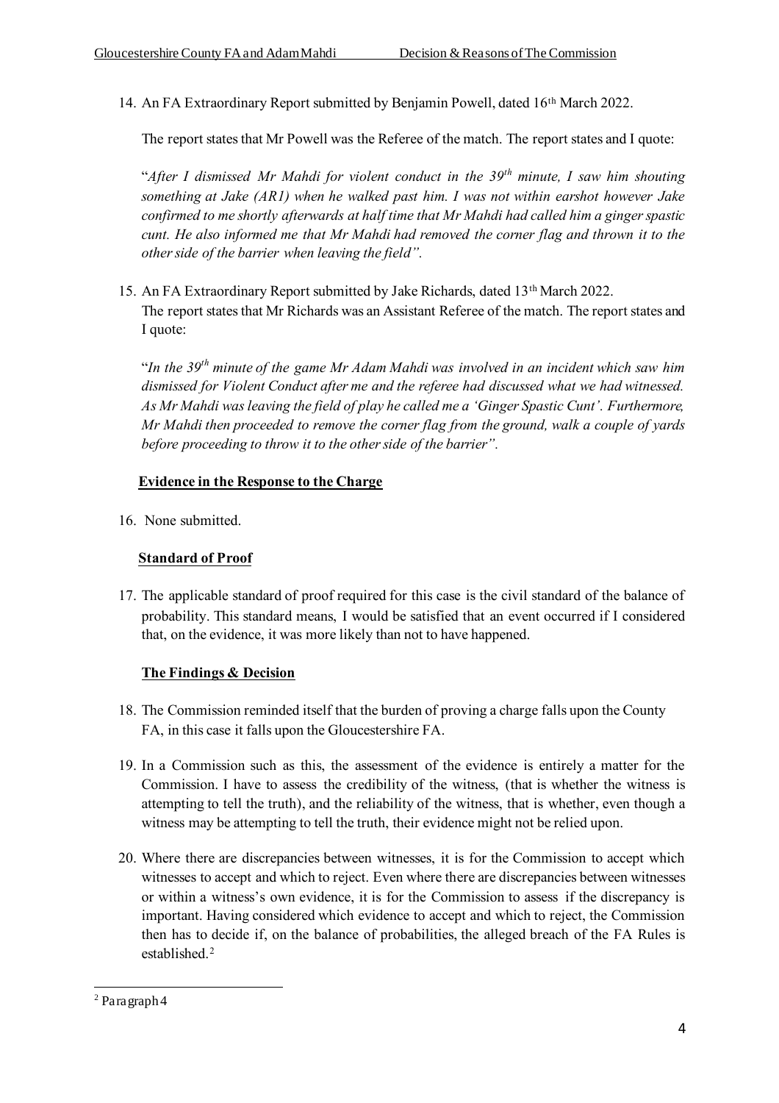14. An FA Extraordinary Report submitted by Benjamin Powell, dated 16th March 2022.

The report states that Mr Powell was the Referee of the match. The report states and I quote:

"*After I dismissed Mr Mahdi for violent conduct in the 39th minute, I saw him shouting something at Jake (AR1) when he walked past him. I was not within earshot however Jake confirmed to me shortly afterwards at half time that Mr Mahdi had called him a ginger spastic cunt. He also informed me that Mr Mahdi had removed the corner flag and thrown it to the other side of the barrier when leaving the field".*

15. An FA Extraordinary Report submitted by Jake Richards, dated 13th March 2022. The report states that Mr Richards was an Assistant Referee of the match. The report states and I quote:

"*In the 39th minute of the game Mr Adam Mahdi was involved in an incident which saw him dismissed for Violent Conduct after me and the referee had discussed what we had witnessed. As Mr Mahdi was leaving the field of play he called me a 'Ginger Spastic Cunt'. Furthermore, Mr Mahdi then proceeded to remove the corner flag from the ground, walk a couple of yards before proceeding to throw it to the other side of the barrier".*

## **Evidence in the Response to the Charge**

16. None submitted.

## **Standard of Proof**

17. The applicable standard of proof required for this case is the civil standard of the balance of probability. This standard means, I would be satisfied that an event occurred if I considered that, on the evidence, it was more likely than not to have happened.

# **The Findings & Decision**

- 18. The Commission reminded itself that the burden of proving a charge falls upon the County FA, in this case it falls upon the Gloucestershire FA.
- 19. In a Commission such as this, the assessment of the evidence is entirely a matter for the Commission. I have to assess the credibility of the witness, (that is whether the witness is attempting to tell the truth), and the reliability of the witness, that is whether, even though a witness may be attempting to tell the truth, their evidence might not be relied upon.
- 20. Where there are discrepancies between witnesses, it is for the Commission to accept which witnesses to accept and which to reject. Even where there are discrepancies between witnesses or within a witness's own evidence, it is for the Commission to assess if the discrepancy is important. Having considered which evidence to accept and which to reject, the Commission then has to decide if, on the balance of probabilities, the alleged breach of the FA Rules is established.<sup>2</sup>

<sup>2</sup> Paragraph 4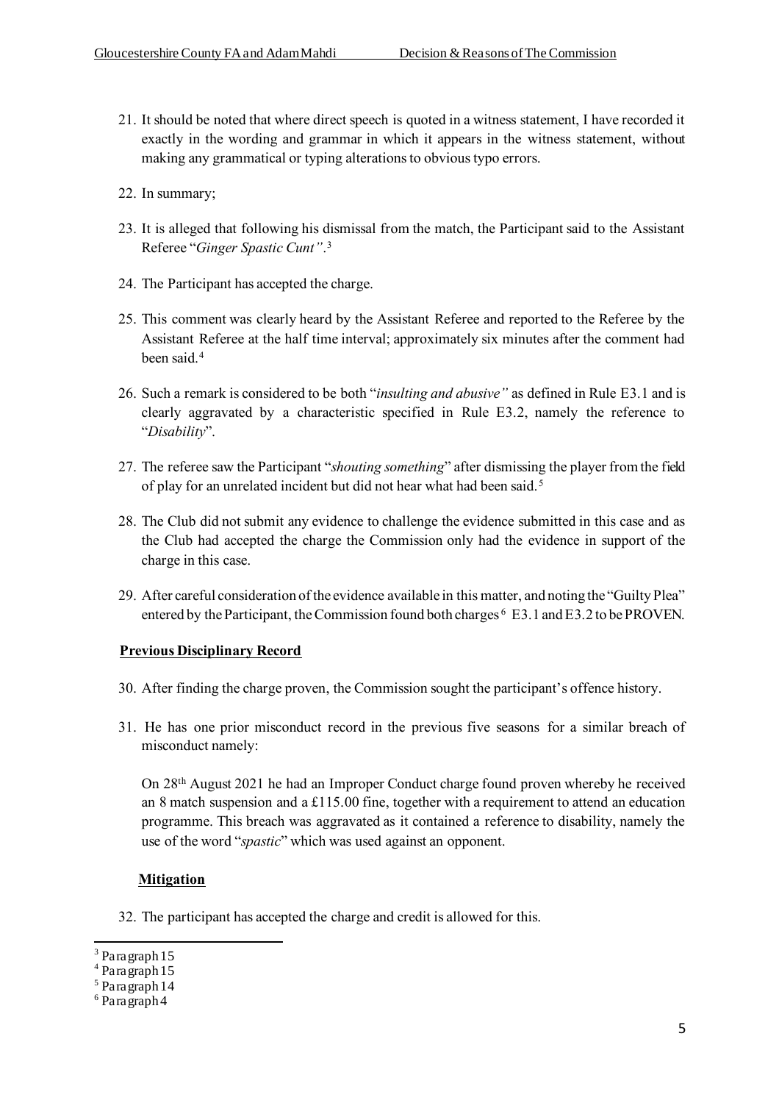- 21. It should be noted that where direct speech is quoted in a witness statement, I have recorded it exactly in the wording and grammar in which it appears in the witness statement, without making any grammatical or typing alterations to obvious typo errors.
- 22. In summary;
- 23. It is alleged that following his dismissal from the match, the Participant said to the Assistant Referee "*Ginger Spastic Cunt"*. 3
- 24. The Participant has accepted the charge.
- 25. This comment was clearly heard by the Assistant Referee and reported to the Referee by the Assistant Referee at the half time interval; approximately six minutes after the comment had been said.<sup>4</sup>
- 26. Such a remark is considered to be both "*insulting and abusive"* as defined in Rule E3.1 and is clearly aggravated by a characteristic specified in Rule E3.2, namely the reference to "*Disability*".
- 27. The referee saw the Participant "*shouting something*" after dismissing the player from the field of play for an unrelated incident but did not hear what had been said. <sup>5</sup>
- 28. The Club did not submit any evidence to challenge the evidence submitted in this case and as the Club had accepted the charge the Commission only had the evidence in support of the charge in this case.
- 29. After careful consideration of the evidence available in this matter, and noting the "Guilty Plea" entered by the Participant, the Commission found both charges <sup>6</sup> E3.1 and E3.2 to be PROVEN.

#### **Previous Disciplinary Record**

- 30. After finding the charge proven, the Commission sought the participant's offence history.
- 31. He has one prior misconduct record in the previous five seasons for a similar breach of misconduct namely:

On 28th August 2021 he had an Improper Conduct charge found proven whereby he received an 8 match suspension and a £115.00 fine, together with a requirement to attend an education programme. This breach was aggravated as it contained a reference to disability, namely the use of the word "*spastic*" which was used against an opponent.

## **Mitigation**

32. The participant has accepted the charge and credit is allowed for this.

<sup>3</sup> Paragraph 15

<sup>4</sup> Paragraph 15

<sup>5</sup> Paragraph 14

<sup>6</sup> Paragraph 4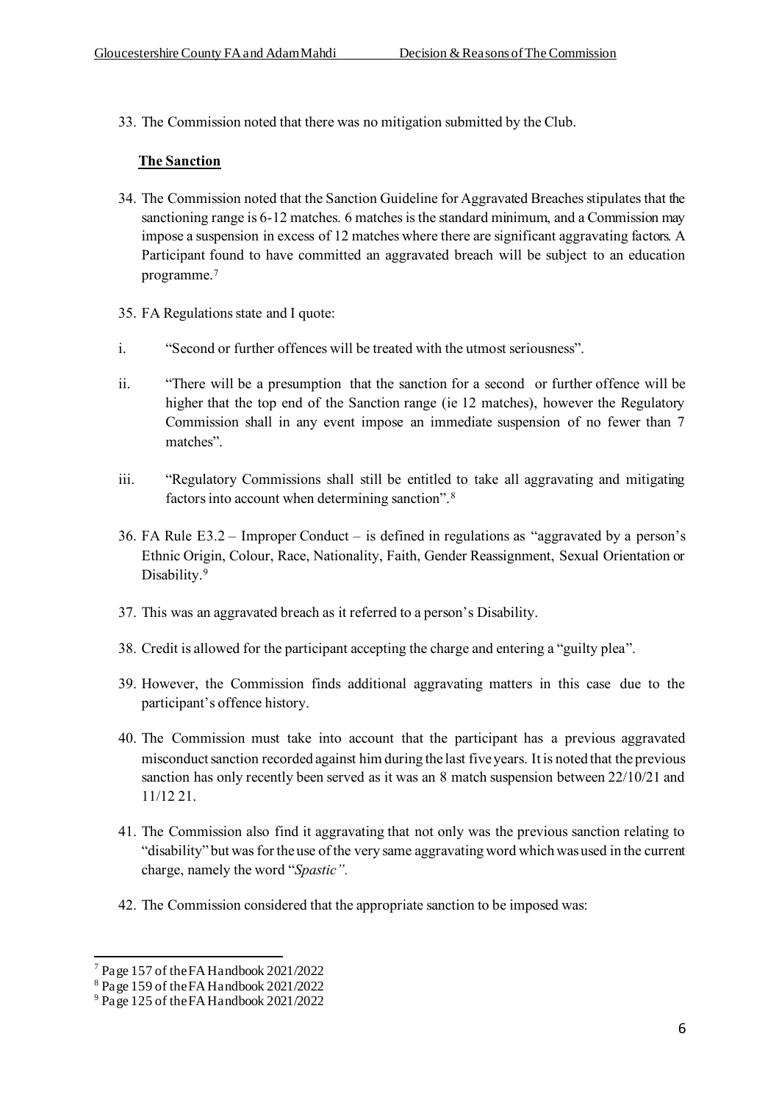33. The Commission noted that there was no mitigation submitted by the Club.

#### **The Sanction**

- 34. The Commission noted that the Sanction Guideline for Aggravated Breaches stipulates that the sanctioning range is 6-12 matches. 6 matches is the standard minimum, and a Commission may impose a suspension in excess of 12 matches where there are significant aggravating factors. A Participant found to have committed an aggravated breach will be subject to an education programme.<sup>7</sup>
- 35. FA Regulations state and I quote:
- i. "Second or further offences will be treated with the utmost seriousness".
- ii. "There will be a presumption that the sanction for a second or further offence will be higher that the top end of the Sanction range (ie 12 matches), however the Regulatory Commission shall in any event impose an immediate suspension of no fewer than 7 matches".
- iii. "Regulatory Commissions shall still be entitled to take all aggravating and mitigating factors into account when determining sanction".<sup>8</sup>
- 36. FA Rule E3.2 Improper Conduct is defined in regulations as "aggravated by a person's Ethnic Origin, Colour, Race, Nationality, Faith, Gender Reassignment, Sexual Orientation or Disability.<sup>9</sup>
- 37. This was an aggravated breach as it referred to a person's Disability.
- 38. Credit is allowed for the participant accepting the charge and entering a "guilty plea".
- 39. However, the Commission finds additional aggravating matters in this case due to the participant's offence history.
- 40. The Commission must take into account that the participant has a previous aggravated misconduct sanction recorded against him during the last five years. It is noted that the previous sanction has only recently been served as it was an 8 match suspension between 22/10/21 and 11/12 21.
- 41. The Commission also find it aggravating that not only was the previous sanction relating to "disability" but was for the use of the very same aggravating word which was used in the current charge, namely the word "*Spastic".*
- 42. The Commission considered that the appropriate sanction to be imposed was:

<sup>7</sup> Page 157 of the FA Handbook 2021/2022

<sup>8</sup> Page 159 of the FA Handbook 2021/2022

<sup>&</sup>lt;sup>9</sup> Page 125 of the FA Handbook 2021/2022